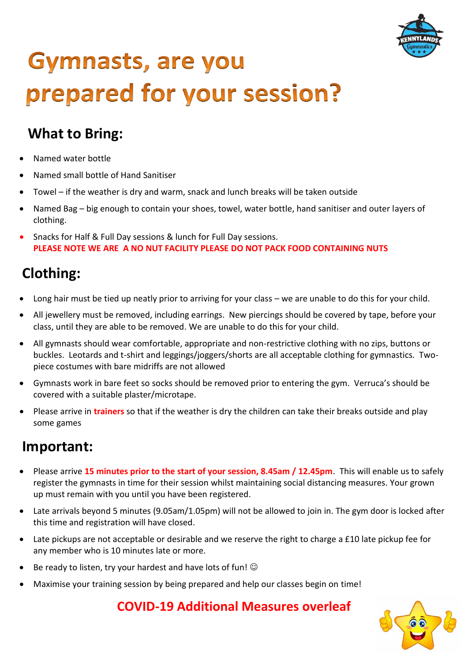

# **Gymnasts, are you** prepared for your session?

## **What to Bring:**

- Named water bottle
- Named small bottle of Hand Sanitiser
- Towel if the weather is dry and warm, snack and lunch breaks will be taken outside
- Named Bag big enough to contain your shoes, towel, water bottle, hand sanitiser and outer layers of clothing.
- Snacks for Half & Full Day sessions & lunch for Full Day sessions. **PLEASE NOTE WE ARE A NO NUT FACILITY PLEASE DO NOT PACK FOOD CONTAINING NUTS**

## **Clothing:**

- Long hair must be tied up neatly prior to arriving for your class we are unable to do this for your child.
- All jewellery must be removed, including earrings. New piercings should be covered by tape, before your class, until they are able to be removed. We are unable to do this for your child.
- All gymnasts should wear comfortable, appropriate and non-restrictive clothing with no zips, buttons or buckles. Leotards and t-shirt and leggings/joggers/shorts are all acceptable clothing for gymnastics. Twopiece costumes with bare midriffs are not allowed
- Gymnasts work in bare feet so socks should be removed prior to entering the gym. Verruca's should be covered with a suitable plaster/microtape.
- Please arrive in **trainers** so that if the weather is dry the children can take their breaks outside and play some games

#### **Important:**

- Please arrive **15 minutes prior to the start of your session, 8.45am / 12.45pm**. This will enable us to safely register the gymnasts in time for their session whilst maintaining social distancing measures. Your grown up must remain with you until you have been registered.
- Late arrivals beyond 5 minutes (9.05am/1.05pm) will not be allowed to join in. The gym door is locked after this time and registration will have closed.
- Late pickups are not acceptable or desirable and we reserve the right to charge a £10 late pickup fee for any member who is 10 minutes late or more.
- Be ready to listen, try your hardest and have lots of fun!  $\odot$
- Maximise your training session by being prepared and help our classes begin on time!

**COVID-19 Additional Measures overleaf**